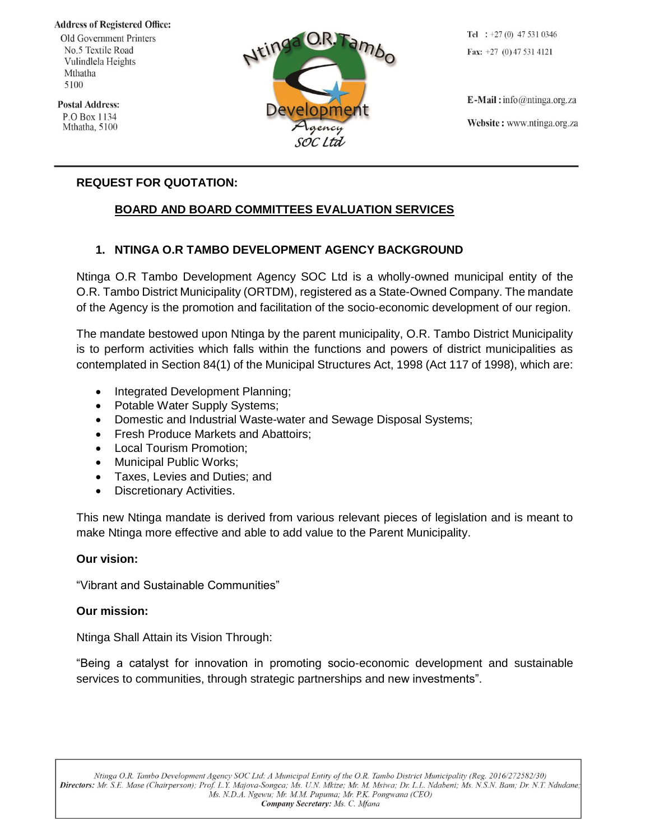**Address of Registered Office:** 

Old Government Printers No.5 Textile Road Vulindlela Heights Mthatha 5100

**Postal Address:** P.O Box 1134 Mthatha, 5100



Tel :  $+27(0)$  47 531 0346 Fax:  $+27$  (0) 47 531 4121

 $E$ -Mail: info@ntinga.org.za Website: www.ntinga.org.za

## **REQUEST FOR QUOTATION:**

# **BOARD AND BOARD COMMITTEES EVALUATION SERVICES**

## **1. NTINGA O.R TAMBO DEVELOPMENT AGENCY BACKGROUND**

Ntinga O.R Tambo Development Agency SOC Ltd is a wholly-owned municipal entity of the O.R. Tambo District Municipality (ORTDM), registered as a State-Owned Company. The mandate of the Agency is the promotion and facilitation of the socio-economic development of our region.

The mandate bestowed upon Ntinga by the parent municipality, O.R. Tambo District Municipality is to perform activities which falls within the functions and powers of district municipalities as contemplated in Section 84(1) of the Municipal Structures Act, 1998 (Act 117 of 1998), which are:

- Integrated Development Planning;
- Potable Water Supply Systems;
- Domestic and Industrial Waste-water and Sewage Disposal Systems;
- Fresh Produce Markets and Abattoirs;
- Local Tourism Promotion;
- Municipal Public Works:
- Taxes, Levies and Duties; and
- Discretionary Activities.

This new Ntinga mandate is derived from various relevant pieces of legislation and is meant to make Ntinga more effective and able to add value to the Parent Municipality.

#### **Our vision:**

"Vibrant and Sustainable Communities"

#### **Our mission:**

Ntinga Shall Attain its Vision Through:

"Being a catalyst for innovation in promoting socio-economic development and sustainable services to communities, through strategic partnerships and new investments".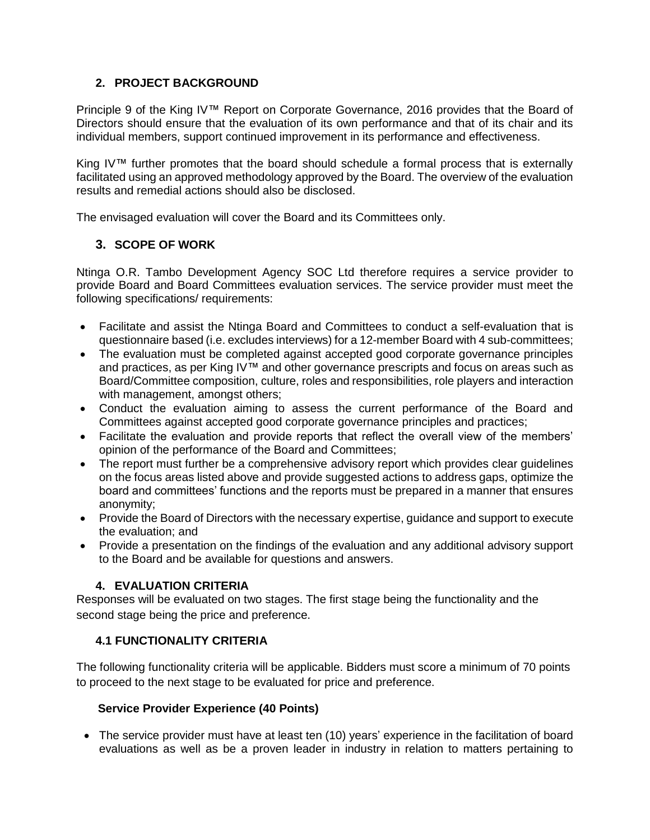## **2. PROJECT BACKGROUND**

Principle 9 of the King IV™ Report on Corporate Governance, 2016 provides that the Board of Directors should ensure that the evaluation of its own performance and that of its chair and its individual members, support continued improvement in its performance and effectiveness.

King IV™ further promotes that the board should schedule a formal process that is externally facilitated using an approved methodology approved by the Board. The overview of the evaluation results and remedial actions should also be disclosed.

The envisaged evaluation will cover the Board and its Committees only.

## **3. SCOPE OF WORK**

Ntinga O.R. Tambo Development Agency SOC Ltd therefore requires a service provider to provide Board and Board Committees evaluation services. The service provider must meet the following specifications/ requirements:

- Facilitate and assist the Ntinga Board and Committees to conduct a self-evaluation that is questionnaire based (i.e. excludes interviews) for a 12-member Board with 4 sub-committees;
- The evaluation must be completed against accepted good corporate governance principles and practices, as per King IV™ and other governance prescripts and focus on areas such as Board/Committee composition, culture, roles and responsibilities, role players and interaction with management, amongst others;
- Conduct the evaluation aiming to assess the current performance of the Board and Committees against accepted good corporate governance principles and practices;
- Facilitate the evaluation and provide reports that reflect the overall view of the members' opinion of the performance of the Board and Committees;
- The report must further be a comprehensive advisory report which provides clear quidelines on the focus areas listed above and provide suggested actions to address gaps, optimize the board and committees' functions and the reports must be prepared in a manner that ensures anonymity;
- Provide the Board of Directors with the necessary expertise, guidance and support to execute the evaluation; and
- Provide a presentation on the findings of the evaluation and any additional advisory support to the Board and be available for questions and answers.

## **4. EVALUATION CRITERIA**

Responses will be evaluated on two stages. The first stage being the functionality and the second stage being the price and preference.

## **4.1 FUNCTIONALITY CRITERIA**

The following functionality criteria will be applicable. Bidders must score a minimum of 70 points to proceed to the next stage to be evaluated for price and preference.

#### **Service Provider Experience (40 Points)**

 The service provider must have at least ten (10) years' experience in the facilitation of board evaluations as well as be a proven leader in industry in relation to matters pertaining to